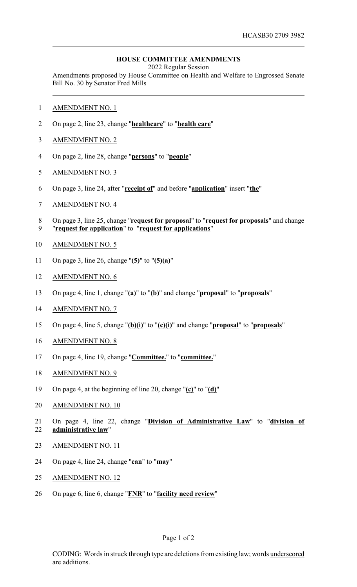## **HOUSE COMMITTEE AMENDMENTS**

2022 Regular Session

Amendments proposed by House Committee on Health and Welfare to Engrossed Senate Bill No. 30 by Senator Fred Mills

- AMENDMENT NO. 1
- On page 2, line 23, change "**healthcare**" to "**health care**"
- AMENDMENT NO. 2
- On page 2, line 28, change "**persons**" to "**people**"
- AMENDMENT NO. 3
- On page 3, line 24, after "**receipt of**" and before "**application**" insert "**the**"
- AMENDMENT NO. 4
- On page 3, line 25, change "**request for proposal**" to "**request for proposals**" and change "**request for application**" to "**request for applications**"
- AMENDMENT NO. 5
- On page 3, line 26, change "**(5)**" to "**(5)(a)**"
- AMENDMENT NO. 6
- On page 4, line 1, change "**(a)**" to "**(b)**" and change "**proposal**" to "**proposals**"
- AMENDMENT NO. 7
- On page 4, line 5, change "**(b)(i)**" to "**(c)(i)**" and change "**proposal**" to "**proposals**"
- AMENDMENT NO. 8
- On page 4, line 19, change "**Committee.**" to "**committee.**"
- AMENDMENT NO. 9
- On page 4, at the beginning of line 20, change "**(c)**" to "**(d)**"
- AMENDMENT NO. 10
- On page 4, line 22, change "**Division of Administrative Law**" to "**division of administrative law**"
- AMENDMENT NO. 11
- On page 4, line 24, change "**can**" to "**may**"
- AMENDMENT NO. 12
- On page 6, line 6, change "**FNR**" to "**facility need review**"